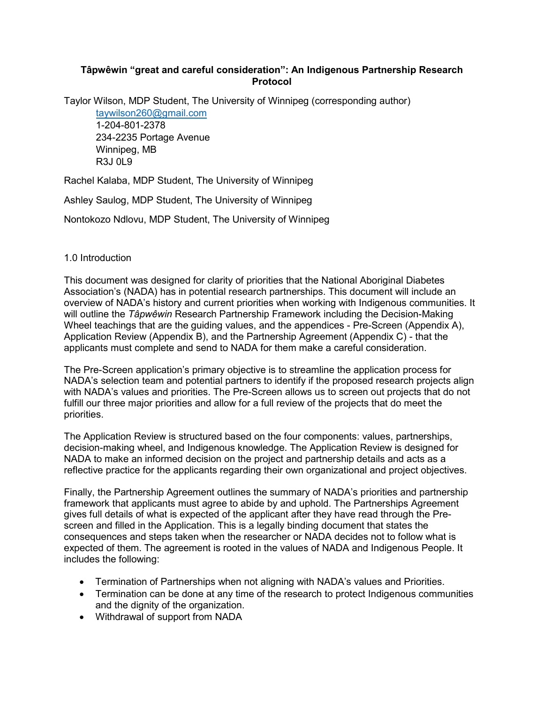## **Tâpwêwin "great and careful consideration": An Indigenous Partnership Research Protocol**

Taylor Wilson, MDP Student, The University of Winnipeg (corresponding author) [taywilson260@gmail.com](mailto:taywilson260@gmail.com)

1-204-801-2378 234-2235 Portage Avenue Winnipeg, MB R3J 0L9

Rachel Kalaba, MDP Student, The University of Winnipeg

Ashley Saulog, MDP Student, The University of Winnipeg

Nontokozo Ndlovu, MDP Student, The University of Winnipeg

## 1.0 Introduction

This document was designed for clarity of priorities that the National Aboriginal Diabetes Association's (NADA) has in potential research partnerships. This document will include an overview of NADA's history and current priorities when working with Indigenous communities. It will outline the *Tâpwêwin* Research Partnership Framework including the Decision-Making Wheel teachings that are the guiding values, and the appendices - Pre-Screen (Appendix A), Application Review (Appendix B), and the Partnership Agreement (Appendix C) - that the applicants must complete and send to NADA for them make a careful consideration.

The Pre-Screen application's primary objective is to streamline the application process for NADA's selection team and potential partners to identify if the proposed research projects align with NADA's values and priorities. The Pre-Screen allows us to screen out projects that do not fulfill our three major priorities and allow for a full review of the projects that do meet the priorities.

The Application Review is structured based on the four components: values, partnerships, decision-making wheel, and Indigenous knowledge. The Application Review is designed for NADA to make an informed decision on the project and partnership details and acts as a reflective practice for the applicants regarding their own organizational and project objectives.

Finally, the Partnership Agreement outlines the summary of NADA's priorities and partnership framework that applicants must agree to abide by and uphold. The Partnerships Agreement gives full details of what is expected of the applicant after they have read through the Prescreen and filled in the Application. This is a legally binding document that states the consequences and steps taken when the researcher or NADA decides not to follow what is expected of them. The agreement is rooted in the values of NADA and Indigenous People. It includes the following:

- Termination of Partnerships when not aligning with NADA's values and Priorities.
- Termination can be done at any time of the research to protect Indigenous communities and the dignity of the organization.
- Withdrawal of support from NADA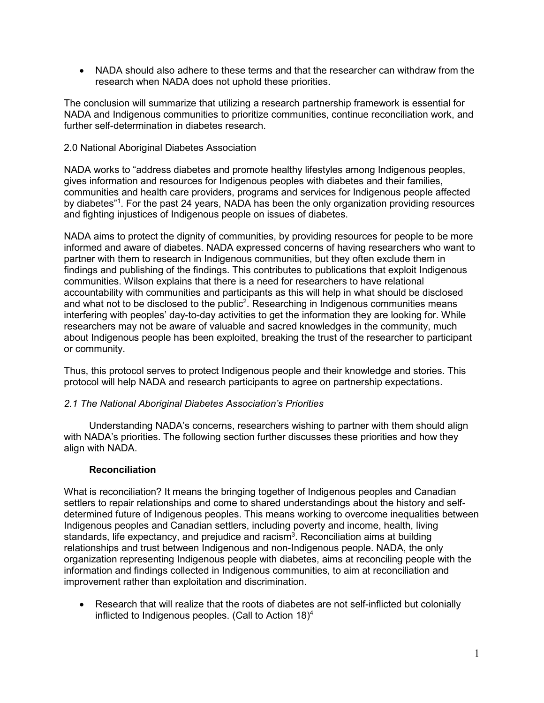• NADA should also adhere to these terms and that the researcher can withdraw from the research when NADA does not uphold these priorities.

The conclusion will summarize that utilizing a research partnership framework is essential for NADA and Indigenous communities to prioritize communities, continue reconciliation work, and further self-determination in diabetes research.

### 2.0 National Aboriginal Diabetes Association

NADA works to "address diabetes and promote healthy lifestyles among Indigenous peoples, gives information and resources for Indigenous peoples with diabetes and their families, communities and health care providers, programs and services for Indigenous people affected by diabetes" 1 . For the past 24 years, NADA has been the only organization providing resources and fighting injustices of Indigenous people on issues of diabetes.

NADA aims to protect the dignity of communities, by providing resources for people to be more informed and aware of diabetes. NADA expressed concerns of having researchers who want to partner with them to research in Indigenous communities, but they often exclude them in findings and publishing of the findings. This contributes to publications that exploit Indigenous communities. Wilson explains that there is a need for researchers to have relational accountability with communities and participants as this will help in what should be disclosed and what not to be disclosed to the public $^2$ . Researching in Indigenous communities means interfering with peoples' day-to-day activities to get the information they are looking for. While researchers may not be aware of valuable and sacred knowledges in the community, much about Indigenous people has been exploited, breaking the trust of the researcher to participant or community.

Thus, this protocol serves to protect Indigenous people and their knowledge and stories. This protocol will help NADA and research participants to agree on partnership expectations.

#### *2.1 The National Aboriginal Diabetes Association's Priorities*

Understanding NADA's concerns, researchers wishing to partner with them should align with NADA's priorities. The following section further discusses these priorities and how they align with NADA.

#### **Reconciliation**

What is reconciliation? It means the bringing together of Indigenous peoples and Canadian settlers to repair relationships and come to shared understandings about the history and selfdetermined future of Indigenous peoples. This means working to overcome inequalities between Indigenous peoples and Canadian settlers, including poverty and income, health, living standards, life expectancy, and prejudice and racism $^3$ . Reconciliation aims at building relationships and trust between Indigenous and non-Indigenous people. NADA, the only organization representing Indigenous people with diabetes, aims at reconciling people with the information and findings collected in Indigenous communities, to aim at reconciliation and improvement rather than exploitation and discrimination.

• Research that will realize that the roots of diabetes are not self-inflicted but colonially inflicted to Indigenous peoples. (Call to Action 18)4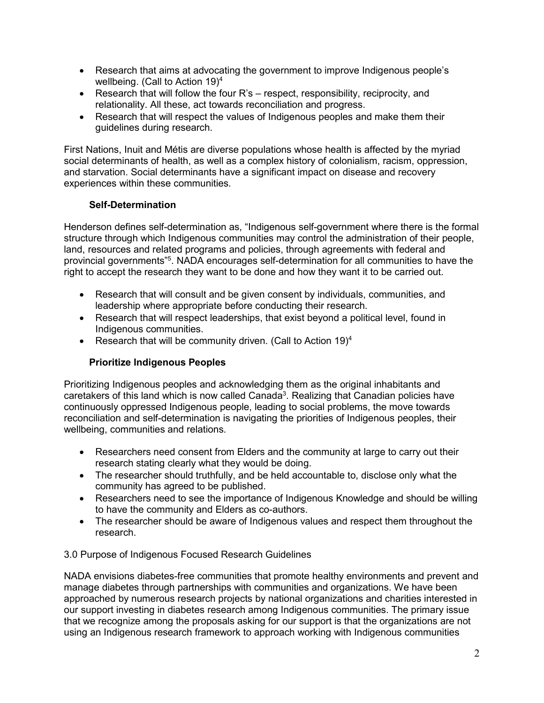- Research that aims at advocating the government to improve Indigenous people's wellbeing. (Call to Action 19)4
- Research that will follow the four R's respect, responsibility, reciprocity, and relationality. All these, act towards reconciliation and progress.
- Research that will respect the values of Indigenous peoples and make them their guidelines during research.

First Nations, Inuit and Métis are diverse populations whose health is affected by the myriad social determinants of health, as well as a complex history of colonialism, racism, oppression, and starvation. Social determinants have a significant impact on disease and recovery experiences within these communities.

# **Self-Determination**

Henderson defines self-determination as, "Indigenous self-government where there is the formal structure through which Indigenous communities may control the administration of their people, land, resources and related programs and policies, through agreements with federal and provincial governments" 5 . NADA encourages self-determination for all communities to have the right to accept the research they want to be done and how they want it to be carried out.

- Research that will consult and be given consent by individuals, communities, and leadership where appropriate before conducting their research.
- Research that will respect leaderships, that exist beyond a political level, found in Indigenous communities.
- Research that will be community driven. (Call to Action  $19)^4$

# **Prioritize Indigenous Peoples**

Prioritizing Indigenous peoples and acknowledging them as the original inhabitants and caretakers of this land which is now called Canada $^3$ . Realizing that Canadian policies have continuously oppressed Indigenous people, leading to social problems, the move towards reconciliation and self-determination is navigating the priorities of Indigenous peoples, their wellbeing, communities and relations.

- Researchers need consent from Elders and the community at large to carry out their research stating clearly what they would be doing.
- The researcher should truthfully, and be held accountable to, disclose only what the community has agreed to be published.
- Researchers need to see the importance of Indigenous Knowledge and should be willing to have the community and Elders as co-authors.
- The researcher should be aware of Indigenous values and respect them throughout the research.

3.0 Purpose of Indigenous Focused Research Guidelines

NADA envisions diabetes-free communities that promote healthy environments and prevent and manage diabetes through partnerships with communities and organizations. We have been approached by numerous research projects by national organizations and charities interested in our support investing in diabetes research among Indigenous communities. The primary issue that we recognize among the proposals asking for our support is that the organizations are not using an Indigenous research framework to approach working with Indigenous communities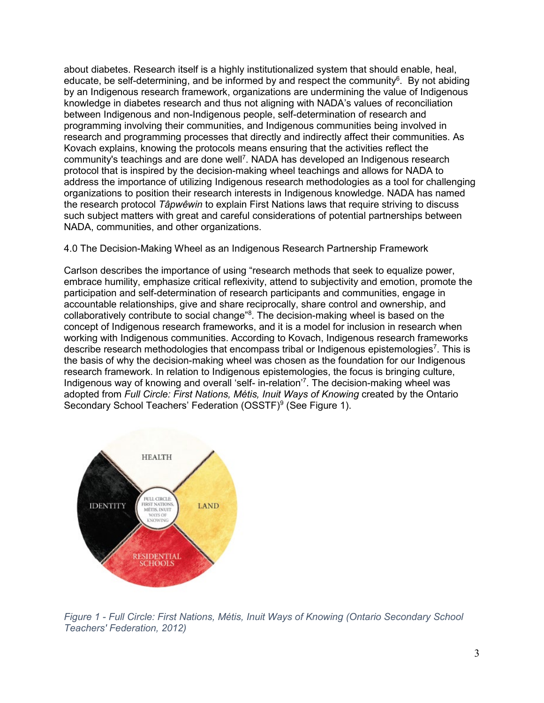about diabetes. Research itself is a highly institutionalized system that should enable, heal, educate, be self-determining, and be informed by and respect the community $^6$ . By not abiding by an Indigenous research framework, organizations are undermining the value of Indigenous knowledge in diabetes research and thus not aligning with NADA's values of reconciliation between Indigenous and non-Indigenous people, self-determination of research and programming involving their communities, and Indigenous communities being involved in research and programming processes that directly and indirectly affect their communities. As Kovach explains, knowing the protocols means ensuring that the activities reflect the community's teachings and are done well<sup>7</sup>. NADA has developed an Indigenous research protocol that is inspired by the decision-making wheel teachings and allows for NADA to address the importance of utilizing Indigenous research methodologies as a tool for challenging organizations to position their research interests in Indigenous knowledge. NADA has named the research protocol *Tâpwêwin* to explain First Nations laws that require striving to discuss such subject matters with great and careful considerations of potential partnerships between NADA, communities, and other organizations.

## 4.0 The Decision-Making Wheel as an Indigenous Research Partnership Framework

Carlson describes the importance of using "research methods that seek to equalize power, embrace humility, emphasize critical reflexivity, attend to subjectivity and emotion, promote the participation and self-determination of research participants and communities, engage in accountable relationships, give and share reciprocally, share control and ownership, and collaboratively contribute to social change"8 . The decision-making wheel is based on the concept of Indigenous research frameworks, and it is a model for inclusion in research when working with Indigenous communities. According to Kovach, Indigenous research frameworks describe research methodologies that encompass tribal or Indigenous epistemologies<sup>7</sup>. This is the basis of why the decision-making wheel was chosen as the foundation for our Indigenous research framework. In relation to Indigenous epistemologies, the focus is bringing culture, Indigenous way of knowing and overall 'self- in-relation'7 . The decision-making wheel was adopted from *Full Circle: First Nations, Métis, Inuit Ways of Knowing* created by the Ontario Secondary School Teachers' Federation (OSSTF)<sup>9</sup> (See Figure 1).



*Figure 1 - Full Circle: First Nations, Métis, Inuit Ways of Knowing (Ontario Secondary School Teachers' Federation, 2012)*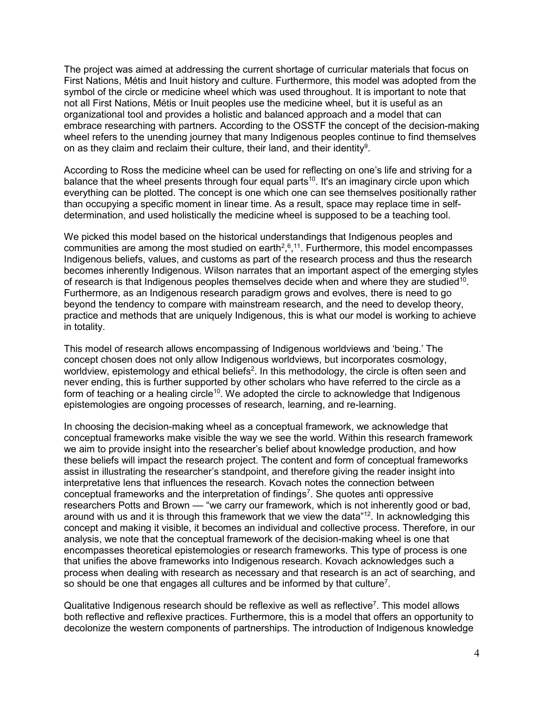The project was aimed at addressing the current shortage of curricular materials that focus on First Nations, Métis and Inuit history and culture. Furthermore, this model was adopted from the symbol of the circle or medicine wheel which was used throughout. It is important to note that not all First Nations, Métis or Inuit peoples use the medicine wheel, but it is useful as an organizational tool and provides a holistic and balanced approach and a model that can embrace researching with partners. According to the OSSTF the concept of the decision-making wheel refers to the unending journey that many Indigenous peoples continue to find themselves on as they claim and reclaim their culture, their land, and their identity<sup>9</sup>.

According to Ross the medicine wheel can be used for reflecting on one's life and striving for a balance that the wheel presents through four equal parts<sup>10</sup>. It's an imaginary circle upon which everything can be plotted. The concept is one which one can see themselves positionally rather than occupying a specific moment in linear time. As a result, space may replace time in selfdetermination, and used holistically the medicine wheel is supposed to be a teaching tool.

We picked this model based on the historical understandings that Indigenous peoples and communities are among the most studied on earth $2,6,11$ . Furthermore, this model encompasses Indigenous beliefs, values, and customs as part of the research process and thus the research becomes inherently Indigenous. Wilson narrates that an important aspect of the emerging styles of research is that Indigenous peoples themselves decide when and where they are studied<sup>10</sup>. Furthermore, as an Indigenous research paradigm grows and evolves, there is need to go beyond the tendency to compare with mainstream research, and the need to develop theory, practice and methods that are uniquely Indigenous, this is what our model is working to achieve in totality.

This model of research allows encompassing of Indigenous worldviews and 'being.' The concept chosen does not only allow Indigenous worldviews, but incorporates cosmology, worldview, epistemology and ethical beliefs $^2$ . In this methodology, the circle is often seen and never ending, this is further supported by other scholars who have referred to the circle as a form of teaching or a healing circle<sup>10</sup>. We adopted the circle to acknowledge that Indigenous epistemologies are ongoing processes of research, learning, and re-learning.

In choosing the decision-making wheel as a conceptual framework, we acknowledge that conceptual frameworks make visible the way we see the world. Within this research framework we aim to provide insight into the researcher's belief about knowledge production, and how these beliefs will impact the research project. The content and form of conceptual frameworks assist in illustrating the researcher's standpoint, and therefore giving the reader insight into interpretative lens that influences the research. Kovach notes the connection between conceptual frameworks and the interpretation of findings<sup>7</sup>. She quotes anti oppressive researchers Potts and Brown — "we carry our framework, which is not inherently good or bad, around with us and it is through this framework that we view the data"<sup>12</sup>. In acknowledging this concept and making it visible, it becomes an individual and collective process. Therefore, in our analysis, we note that the conceptual framework of the decision-making wheel is one that encompasses theoretical epistemologies or research frameworks. This type of process is one that unifies the above frameworks into Indigenous research. Kovach acknowledges such a process when dealing with research as necessary and that research is an act of searching, and so should be one that engages all cultures and be informed by that culture<sup>7</sup>.

Qualitative Indigenous research should be reflexive as well as reflective<sup>7</sup>. This model allows both reflective and reflexive practices. Furthermore, this is a model that offers an opportunity to decolonize the western components of partnerships. The introduction of Indigenous knowledge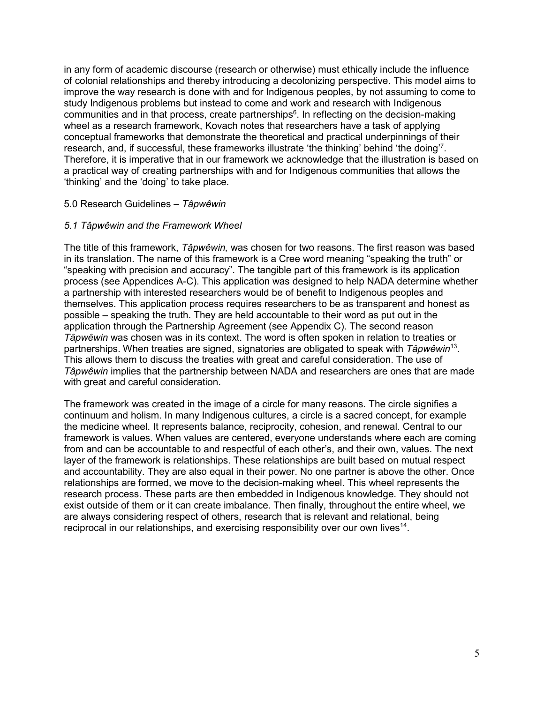in any form of academic discourse (research or otherwise) must ethically include the influence of colonial relationships and thereby introducing a decolonizing perspective. This model aims to improve the way research is done with and for Indigenous peoples, by not assuming to come to study Indigenous problems but instead to come and work and research with Indigenous communities and in that process, create partnerships<sup>6</sup>. In reflecting on the decision-making wheel as a research framework, Kovach notes that researchers have a task of applying conceptual frameworks that demonstrate the theoretical and practical underpinnings of their research, and, if successful, these frameworks illustrate 'the thinking' behind 'the doing'<sup>7</sup>. Therefore, it is imperative that in our framework we acknowledge that the illustration is based on a practical way of creating partnerships with and for Indigenous communities that allows the 'thinking' and the 'doing' to take place.

### 5.0 Research Guidelines – *Tâpwêwin*

### *5.1 Tâpwêwin and the Framework Wheel*

The title of this framework, *Tâpwêwin,* was chosen for two reasons. The first reason was based in its translation. The name of this framework is a Cree word meaning "speaking the truth" or "speaking with precision and accuracy". The tangible part of this framework is its application process (see Appendices A-C). This application was designed to help NADA determine whether a partnership with interested researchers would be of benefit to Indigenous peoples and themselves. This application process requires researchers to be as transparent and honest as possible – speaking the truth. They are held accountable to their word as put out in the application through the Partnership Agreement (see Appendix C). The second reason *Tâpwêwin* was chosen was in its context. The word is often spoken in relation to treaties or partnerships. When treaties are signed, signatories are obligated to speak with *Tâpwêwin*13. This allows them to discuss the treaties with great and careful consideration. The use of *Tâpwêwin* implies that the partnership between NADA and researchers are ones that are made with great and careful consideration.

The framework was created in the image of a circle for many reasons. The circle signifies a continuum and holism. In many Indigenous cultures, a circle is a sacred concept, for example the medicine wheel. It represents balance, reciprocity, cohesion, and renewal. Central to our framework is values. When values are centered, everyone understands where each are coming from and can be accountable to and respectful of each other's, and their own, values. The next layer of the framework is relationships. These relationships are built based on mutual respect and accountability. They are also equal in their power. No one partner is above the other. Once relationships are formed, we move to the decision-making wheel. This wheel represents the research process. These parts are then embedded in Indigenous knowledge. They should not exist outside of them or it can create imbalance. Then finally, throughout the entire wheel, we are always considering respect of others, research that is relevant and relational, being reciprocal in our relationships, and exercising responsibility over our own lives<sup>14</sup>.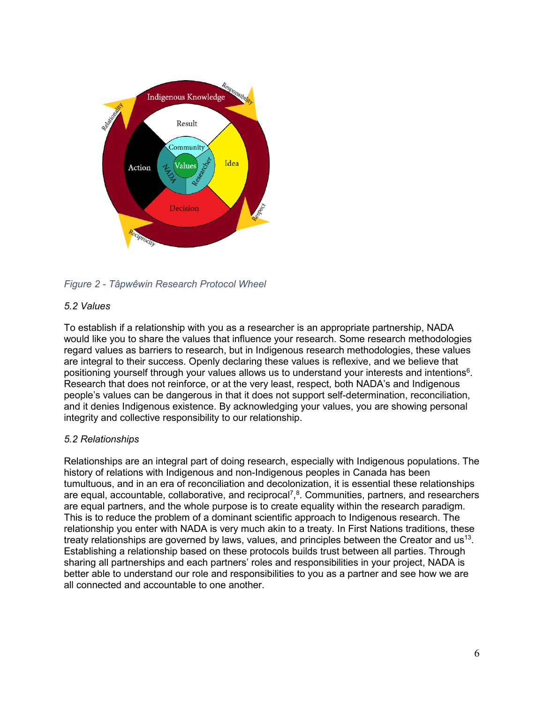

*Figure 2 - Tâpwêwin Research Protocol Wheel*

## *5.2 Values*

To establish if a relationship with you as a researcher is an appropriate partnership, NADA would like you to share the values that influence your research. Some research methodologies regard values as barriers to research, but in Indigenous research methodologies, these values are integral to their success. Openly declaring these values is reflexive, and we believe that positioning yourself through your values allows us to understand your interests and intentions<sup>6</sup>. Research that does not reinforce, or at the very least, respect, both NADA's and Indigenous people's values can be dangerous in that it does not support self-determination, reconciliation, and it denies Indigenous existence. By acknowledging your values, you are showing personal integrity and collective responsibility to our relationship.

# *5.2 Relationships*

Relationships are an integral part of doing research, especially with Indigenous populations. The history of relations with Indigenous and non-Indigenous peoples in Canada has been tumultuous, and in an era of reconciliation and decolonization, it is essential these relationships are equal, accountable, collaborative, and reciprocal<sup>7</sup>,<sup>8</sup>. Communities, partners, and researchers are equal partners, and the whole purpose is to create equality within the research paradigm. This is to reduce the problem of a dominant scientific approach to Indigenous research. The relationship you enter with NADA is very much akin to a treaty. In First Nations traditions, these treaty relationships are governed by laws, values, and principles between the Creator and  $us^{13}$ . Establishing a relationship based on these protocols builds trust between all parties. Through sharing all partnerships and each partners' roles and responsibilities in your project, NADA is better able to understand our role and responsibilities to you as a partner and see how we are all connected and accountable to one another.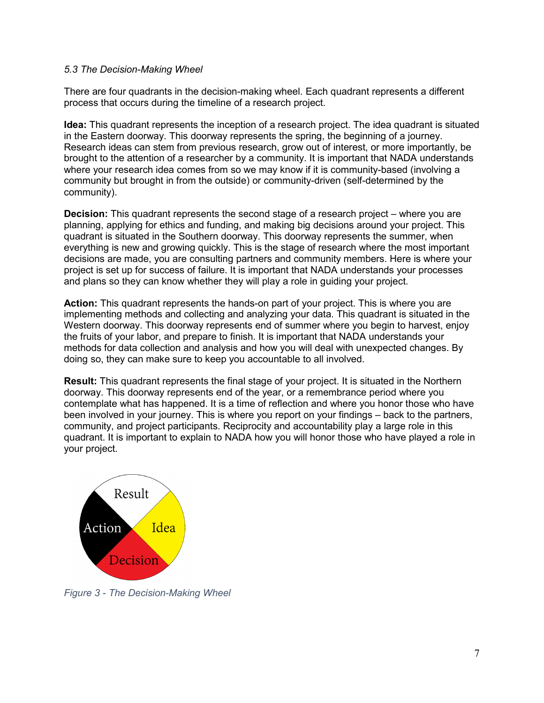### *5.3 The Decision-Making Wheel*

There are four quadrants in the decision-making wheel. Each quadrant represents a different process that occurs during the timeline of a research project.

**Idea:** This quadrant represents the inception of a research project. The idea quadrant is situated in the Eastern doorway. This doorway represents the spring, the beginning of a journey. Research ideas can stem from previous research, grow out of interest, or more importantly, be brought to the attention of a researcher by a community. It is important that NADA understands where your research idea comes from so we may know if it is community-based (involving a community but brought in from the outside) or community-driven (self-determined by the community).

**Decision:** This quadrant represents the second stage of a research project – where you are planning, applying for ethics and funding, and making big decisions around your project. This quadrant is situated in the Southern doorway. This doorway represents the summer, when everything is new and growing quickly. This is the stage of research where the most important decisions are made, you are consulting partners and community members. Here is where your project is set up for success of failure. It is important that NADA understands your processes and plans so they can know whether they will play a role in guiding your project.

**Action:** This quadrant represents the hands-on part of your project. This is where you are implementing methods and collecting and analyzing your data. This quadrant is situated in the Western doorway. This doorway represents end of summer where you begin to harvest, enjoy the fruits of your labor, and prepare to finish. It is important that NADA understands your methods for data collection and analysis and how you will deal with unexpected changes. By doing so, they can make sure to keep you accountable to all involved.

**Result:** This quadrant represents the final stage of your project. It is situated in the Northern doorway. This doorway represents end of the year, or a remembrance period where you contemplate what has happened. It is a time of reflection and where you honor those who have been involved in your journey. This is where you report on your findings – back to the partners, community, and project participants. Reciprocity and accountability play a large role in this quadrant. It is important to explain to NADA how you will honor those who have played a role in your project.



*Figure 3 - The Decision-Making Wheel*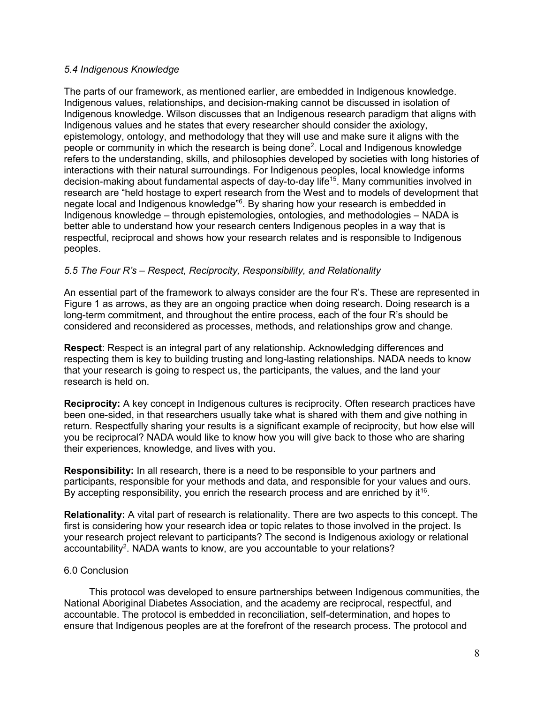### *5.4 Indigenous Knowledge*

The parts of our framework, as mentioned earlier, are embedded in Indigenous knowledge. Indigenous values, relationships, and decision-making cannot be discussed in isolation of Indigenous knowledge. Wilson discusses that an Indigenous research paradigm that aligns with Indigenous values and he states that every researcher should consider the axiology, epistemology, ontology, and methodology that they will use and make sure it aligns with the people or community in which the research is being done<sup>2</sup>. Local and Indigenous knowledge refers to the understanding, skills, and philosophies developed by societies with long histories of interactions with their natural surroundings. For Indigenous peoples, local knowledge informs decision-making about fundamental aspects of day-to-day life15. Many communities involved in research are "held hostage to expert research from the West and to models of development that negate local and Indigenous knowledge"<sup>6</sup>. By sharing how your research is embedded in Indigenous knowledge – through epistemologies, ontologies, and methodologies – NADA is better able to understand how your research centers Indigenous peoples in a way that is respectful, reciprocal and shows how your research relates and is responsible to Indigenous peoples.

## *5.5 The Four R's – Respect, Reciprocity, Responsibility, and Relationality*

An essential part of the framework to always consider are the four R's. These are represented in Figure 1 as arrows, as they are an ongoing practice when doing research. Doing research is a long-term commitment, and throughout the entire process, each of the four R's should be considered and reconsidered as processes, methods, and relationships grow and change.

**Respect**: Respect is an integral part of any relationship. Acknowledging differences and respecting them is key to building trusting and long-lasting relationships. NADA needs to know that your research is going to respect us, the participants, the values, and the land your research is held on.

**Reciprocity:** A key concept in Indigenous cultures is reciprocity. Often research practices have been one-sided, in that researchers usually take what is shared with them and give nothing in return. Respectfully sharing your results is a significant example of reciprocity, but how else will you be reciprocal? NADA would like to know how you will give back to those who are sharing their experiences, knowledge, and lives with you.

**Responsibility:** In all research, there is a need to be responsible to your partners and participants, responsible for your methods and data, and responsible for your values and ours. By accepting responsibility, you enrich the research process and are enriched by  $it^{16}$ .

**Relationality:** A vital part of research is relationality. There are two aspects to this concept. The first is considering how your research idea or topic relates to those involved in the project. Is your research project relevant to participants? The second is Indigenous axiology or relational accountability<sup>2</sup>. NADA wants to know, are you accountable to your relations?

## 6.0 Conclusion

This protocol was developed to ensure partnerships between Indigenous communities, the National Aboriginal Diabetes Association, and the academy are reciprocal, respectful, and accountable. The protocol is embedded in reconciliation, self-determination, and hopes to ensure that Indigenous peoples are at the forefront of the research process. The protocol and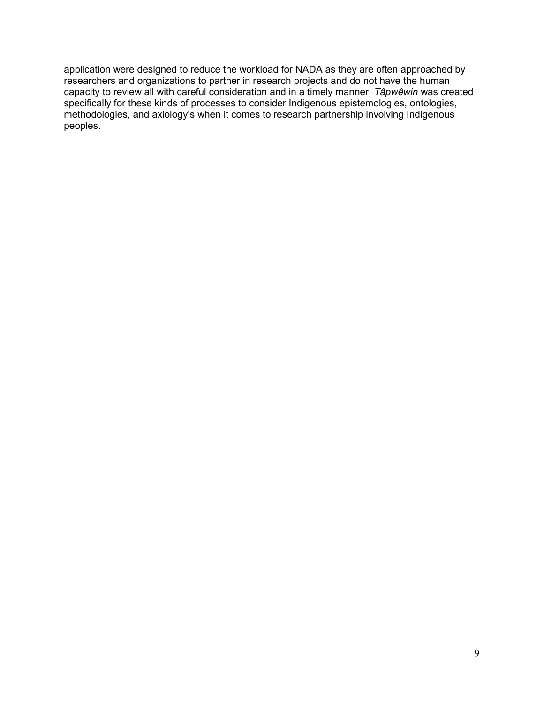application were designed to reduce the workload for NADA as they are often approached by researchers and organizations to partner in research projects and do not have the human capacity to review all with careful consideration and in a timely manner. *Tâpwêwin* was created specifically for these kinds of processes to consider Indigenous epistemologies, ontologies, methodologies, and axiology's when it comes to research partnership involving Indigenous peoples.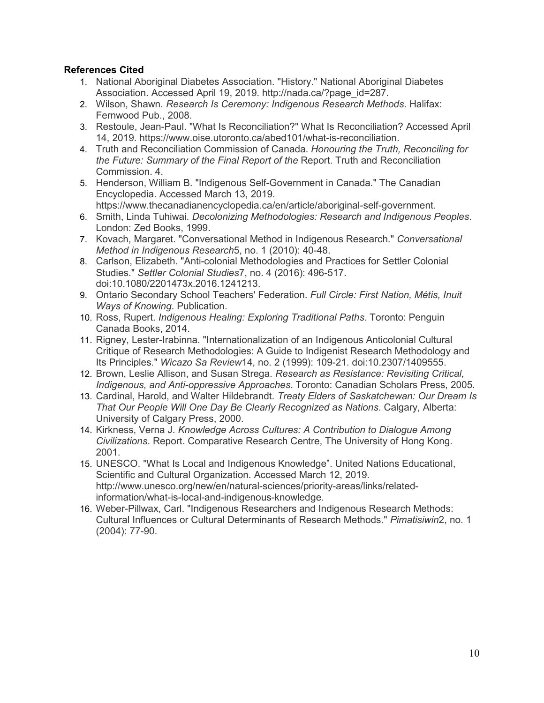## **References Cited**

- 1. National Aboriginal Diabetes Association. "History." National Aboriginal Diabetes Association. Accessed April 19, 2019. http://nada.ca/?page\_id=287.
- 2. Wilson, Shawn. *Research Is Ceremony: Indigenous Research Methods*. Halifax: Fernwood Pub., 2008.
- 3. Restoule, Jean-Paul. "What Is Reconciliation?" What Is Reconciliation? Accessed April 14, 2019. https://www.oise.utoronto.ca/abed101/what-is-reconciliation.
- 4. Truth and Reconciliation Commission of Canada. *Honouring the Truth, Reconciling for the Future: Summary of the Final Report of the* Report. Truth and Reconciliation Commission. 4.
- 5. Henderson, William B. "Indigenous Self-Government in Canada." The Canadian Encyclopedia. Accessed March 13, 2019. https://www.thecanadianencyclopedia.ca/en/article/aboriginal-self-government.
- 6. Smith, Linda Tuhiwai. *Decolonizing Methodologies: Research and Indigenous Peoples*. London: Zed Books, 1999.
- 7. Kovach, Margaret. "Conversational Method in Indigenous Research." *Conversational Method in Indigenous Research*5, no. 1 (2010): 40-48.
- 8. Carlson, Elizabeth. "Anti-colonial Methodologies and Practices for Settler Colonial Studies." *Settler Colonial Studies*7, no. 4 (2016): 496-517. doi:10.1080/2201473x.2016.1241213.
- 9. Ontario Secondary School Teachers' Federation. *Full Circle: First Nation, Métis, Inuit Ways of Knowing*. Publication.
- 10. Ross, Rupert. *Indigenous Healing: Exploring Traditional Paths*. Toronto: Penguin Canada Books, 2014.
- 11. Rigney, Lester-Irabinna. "Internationalization of an Indigenous Anticolonial Cultural Critique of Research Methodologies: A Guide to Indigenist Research Methodology and Its Principles." *Wicazo Sa Review*14, no. 2 (1999): 109-21. doi:10.2307/1409555.
- 12. Brown, Leslie Allison, and Susan Strega. *Research as Resistance: Revisiting Critical, Indigenous, and Anti-oppressive Approaches*. Toronto: Canadian Scholars Press, 2005.
- 13. Cardinal, Harold, and Walter Hildebrandt. *Treaty Elders of Saskatchewan: Our Dream Is That Our People Will One Day Be Clearly Recognized as Nations*. Calgary, Alberta: University of Calgary Press, 2000.
- 14. Kirkness, Verna J. *Knowledge Across Cultures: A Contribution to Dialogue Among Civilizations*. Report. Comparative Research Centre, The University of Hong Kong. 2001.
- 15. UNESCO. "What Is Local and Indigenous Knowledge". United Nations Educational, Scientific and Cultural Organization. Accessed March 12, 2019. http://www.unesco.org/new/en/natural-sciences/priority-areas/links/relatedinformation/what-is-local-and-indigenous-knowledge.
- 16. Weber-Pillwax, Carl. "Indigenous Researchers and Indigenous Research Methods: Cultural Influences or Cultural Determinants of Research Methods." *Pimatisiwin*2, no. 1 (2004): 77-90.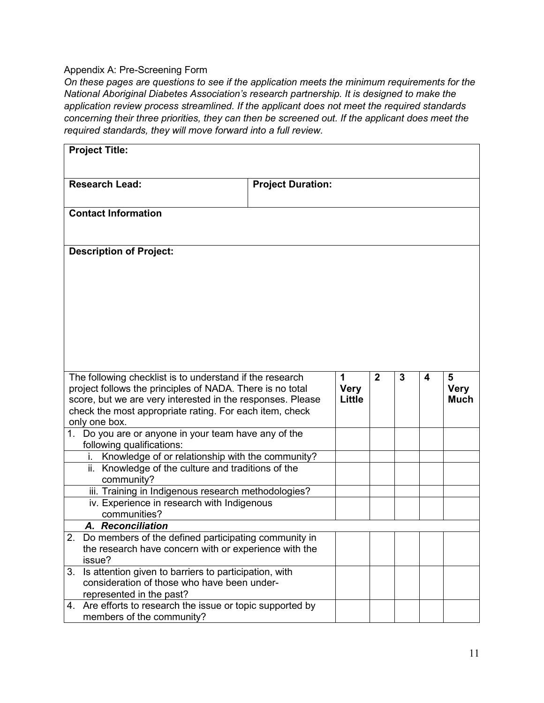## Appendix A: Pre-Screening Form

*On these pages are questions to see if the application meets the minimum requirements for the National Aboriginal Diabetes Association's research partnership. It is designed to make the application review process streamlined. If the applicant does not meet the required standards concerning their three priorities, they can then be screened out. If the applicant does meet the required standards, they will move forward into a full review.*

| <b>Project Title:</b> |                                                                                                                                                                                                                                                                 |                          |                                   |                |   |   |                                 |
|-----------------------|-----------------------------------------------------------------------------------------------------------------------------------------------------------------------------------------------------------------------------------------------------------------|--------------------------|-----------------------------------|----------------|---|---|---------------------------------|
|                       | <b>Research Lead:</b>                                                                                                                                                                                                                                           | <b>Project Duration:</b> |                                   |                |   |   |                                 |
|                       | <b>Contact Information</b>                                                                                                                                                                                                                                      |                          |                                   |                |   |   |                                 |
|                       | <b>Description of Project:</b>                                                                                                                                                                                                                                  |                          |                                   |                |   |   |                                 |
|                       |                                                                                                                                                                                                                                                                 |                          |                                   |                |   |   |                                 |
|                       |                                                                                                                                                                                                                                                                 |                          |                                   |                |   |   |                                 |
|                       | The following checklist is to understand if the research<br>project follows the principles of NADA. There is no total<br>score, but we are very interested in the responses. Please<br>check the most appropriate rating. For each item, check<br>only one box. |                          | 1<br><b>Very</b><br><b>Little</b> | $\overline{2}$ | 3 | 4 | 5<br><b>Very</b><br><b>Much</b> |
|                       | 1. Do you are or anyone in your team have any of the<br>following qualifications:                                                                                                                                                                               |                          |                                   |                |   |   |                                 |
|                       | Knowledge of or relationship with the community?                                                                                                                                                                                                                |                          |                                   |                |   |   |                                 |
|                       | ii. Knowledge of the culture and traditions of the<br>community?                                                                                                                                                                                                |                          |                                   |                |   |   |                                 |
|                       | iii. Training in Indigenous research methodologies?                                                                                                                                                                                                             |                          |                                   |                |   |   |                                 |
|                       | iv. Experience in research with Indigenous                                                                                                                                                                                                                      |                          |                                   |                |   |   |                                 |
|                       | communities?<br>A. Reconciliation                                                                                                                                                                                                                               |                          |                                   |                |   |   |                                 |
| $\overline{2}$        | Do members of the defined participating community in                                                                                                                                                                                                            |                          |                                   |                |   |   |                                 |
|                       | the research have concern with or experience with the                                                                                                                                                                                                           |                          |                                   |                |   |   |                                 |
|                       | issue?                                                                                                                                                                                                                                                          |                          |                                   |                |   |   |                                 |
| 3.                    | Is attention given to barriers to participation, with                                                                                                                                                                                                           |                          |                                   |                |   |   |                                 |
|                       | consideration of those who have been under-<br>represented in the past?                                                                                                                                                                                         |                          |                                   |                |   |   |                                 |
|                       | 4. Are efforts to research the issue or topic supported by<br>members of the community?                                                                                                                                                                         |                          |                                   |                |   |   |                                 |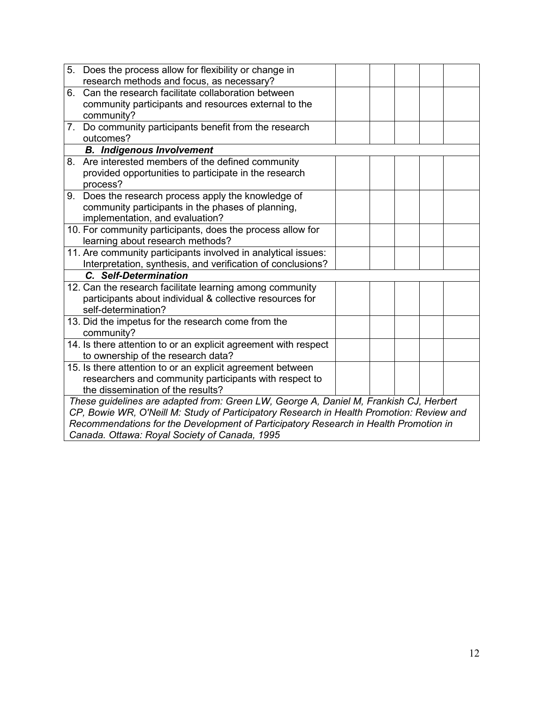|                                                                                      | 5. Does the process allow for flexibility or change in                                   |  |  |  |  |
|--------------------------------------------------------------------------------------|------------------------------------------------------------------------------------------|--|--|--|--|
|                                                                                      | research methods and focus, as necessary?                                                |  |  |  |  |
| 6.                                                                                   | Can the research facilitate collaboration between                                        |  |  |  |  |
|                                                                                      | community participants and resources external to the                                     |  |  |  |  |
|                                                                                      | community?                                                                               |  |  |  |  |
|                                                                                      | 7. Do community participants benefit from the research                                   |  |  |  |  |
|                                                                                      | outcomes?                                                                                |  |  |  |  |
|                                                                                      | <b>B.</b> Indigenous Involvement                                                         |  |  |  |  |
|                                                                                      | 8. Are interested members of the defined community                                       |  |  |  |  |
|                                                                                      | provided opportunities to participate in the research                                    |  |  |  |  |
|                                                                                      | process?                                                                                 |  |  |  |  |
|                                                                                      | 9. Does the research process apply the knowledge of                                      |  |  |  |  |
|                                                                                      | community participants in the phases of planning,                                        |  |  |  |  |
|                                                                                      | implementation, and evaluation?                                                          |  |  |  |  |
|                                                                                      | 10. For community participants, does the process allow for                               |  |  |  |  |
|                                                                                      | learning about research methods?                                                         |  |  |  |  |
|                                                                                      | 11. Are community participants involved in analytical issues:                            |  |  |  |  |
|                                                                                      | Interpretation, synthesis, and verification of conclusions?                              |  |  |  |  |
|                                                                                      | C. Self-Determination                                                                    |  |  |  |  |
|                                                                                      | 12. Can the research facilitate learning among community                                 |  |  |  |  |
|                                                                                      | participants about individual & collective resources for                                 |  |  |  |  |
|                                                                                      | self-determination?                                                                      |  |  |  |  |
|                                                                                      | 13. Did the impetus for the research come from the                                       |  |  |  |  |
|                                                                                      | community?                                                                               |  |  |  |  |
|                                                                                      | 14. Is there attention to or an explicit agreement with respect                          |  |  |  |  |
|                                                                                      | to ownership of the research data?                                                       |  |  |  |  |
|                                                                                      | 15. Is there attention to or an explicit agreement between                               |  |  |  |  |
|                                                                                      | researchers and community participants with respect to                                   |  |  |  |  |
|                                                                                      | the dissemination of the results?                                                        |  |  |  |  |
|                                                                                      | These guidelines are adapted from: Green LW, George A, Daniel M, Frankish CJ, Herbert    |  |  |  |  |
|                                                                                      | CP, Bowie WR, O'Neill M: Study of Participatory Research in Health Promotion: Review and |  |  |  |  |
| Recommendations for the Development of Participatory Research in Health Promotion in |                                                                                          |  |  |  |  |
|                                                                                      | Canada. Ottawa: Royal Society of Canada, 1995                                            |  |  |  |  |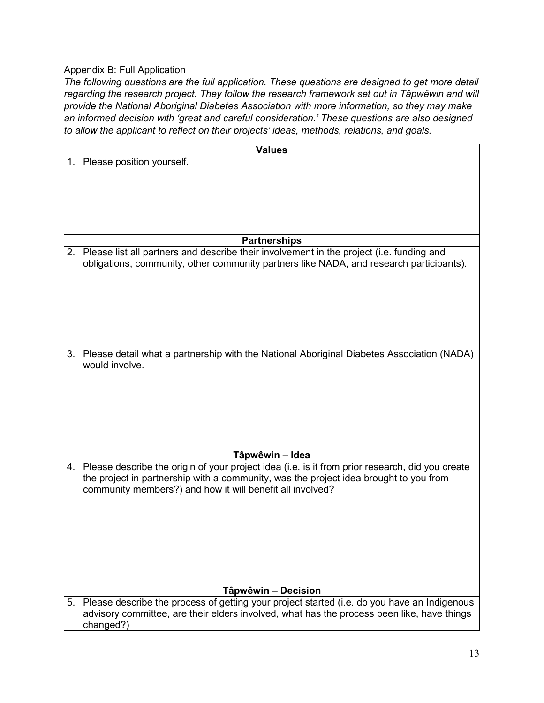## Appendix B: Full Application

*The following questions are the full application. These questions are designed to get more detail regarding the research project. They follow the research framework set out in Tâpwêwin and will provide the National Aboriginal Diabetes Association with more information, so they may make an informed decision with 'great and careful consideration.' These questions are also designed to allow the applicant to reflect on their projects' ideas, methods, relations, and goals.*

|    | <b>Values</b>                                                                                      |
|----|----------------------------------------------------------------------------------------------------|
|    | 1. Please position yourself.                                                                       |
|    |                                                                                                    |
|    |                                                                                                    |
|    |                                                                                                    |
|    |                                                                                                    |
|    |                                                                                                    |
|    |                                                                                                    |
|    | <b>Partnerships</b>                                                                                |
|    | 2. Please list all partners and describe their involvement in the project (i.e. funding and        |
|    | obligations, community, other community partners like NADA, and research participants).            |
|    |                                                                                                    |
|    |                                                                                                    |
|    |                                                                                                    |
|    |                                                                                                    |
|    |                                                                                                    |
|    |                                                                                                    |
|    |                                                                                                    |
| 3. | Please detail what a partnership with the National Aboriginal Diabetes Association (NADA)          |
|    | would involve.                                                                                     |
|    |                                                                                                    |
|    |                                                                                                    |
|    |                                                                                                    |
|    |                                                                                                    |
|    |                                                                                                    |
|    |                                                                                                    |
|    |                                                                                                    |
|    | Tâpwêwin – Idea                                                                                    |
|    | 4. Please describe the origin of your project idea (i.e. is it from prior research, did you create |
|    | the project in partnership with a community, was the project idea brought to you from              |
|    | community members?) and how it will benefit all involved?                                          |
|    |                                                                                                    |
|    |                                                                                                    |
|    |                                                                                                    |
|    |                                                                                                    |
|    |                                                                                                    |
|    |                                                                                                    |
|    |                                                                                                    |
|    |                                                                                                    |
|    | Tâpwêwin - Decision                                                                                |
|    | 5. Please describe the process of getting your project started (i.e. do you have an Indigenous     |
|    | advisory committee, are their elders involved, what has the process been like, have things         |
|    | changed?)                                                                                          |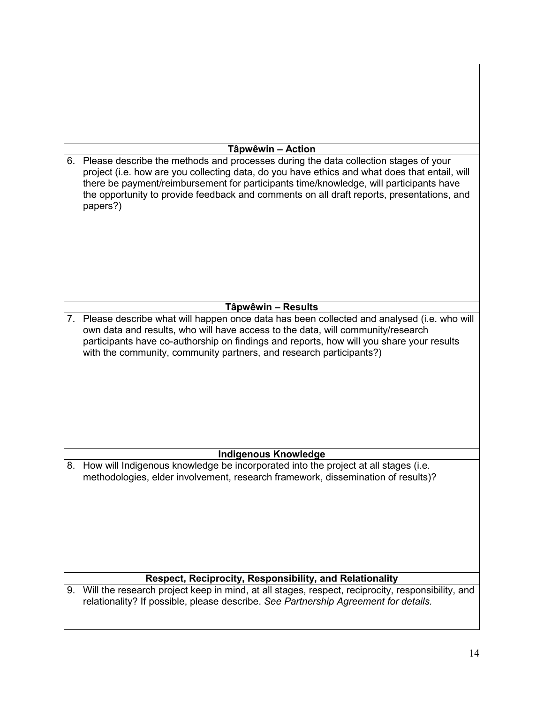|    | Tâpwêwin - Action                                                                                                                                                                                                                                                                                                                                                                       |
|----|-----------------------------------------------------------------------------------------------------------------------------------------------------------------------------------------------------------------------------------------------------------------------------------------------------------------------------------------------------------------------------------------|
| 6. | Please describe the methods and processes during the data collection stages of your<br>project (i.e. how are you collecting data, do you have ethics and what does that entail, will<br>there be payment/reimbursement for participants time/knowledge, will participants have<br>the opportunity to provide feedback and comments on all draft reports, presentations, and<br>papers?) |
|    |                                                                                                                                                                                                                                                                                                                                                                                         |
|    | Tâpwêwin - Results                                                                                                                                                                                                                                                                                                                                                                      |
|    | 7. Please describe what will happen once data has been collected and analysed (i.e. who will<br>own data and results, who will have access to the data, will community/research<br>participants have co-authorship on findings and reports, how will you share your results<br>with the community, community partners, and research participants?)                                      |
|    | <b>Indigenous Knowledge</b>                                                                                                                                                                                                                                                                                                                                                             |
|    | 8. How will Indigenous knowledge be incorporated into the project at all stages (i.e.<br>methodologies, elder involvement, research framework, dissemination of results)?                                                                                                                                                                                                               |
|    |                                                                                                                                                                                                                                                                                                                                                                                         |
|    | Respect, Reciprocity, Responsibility, and Relationality                                                                                                                                                                                                                                                                                                                                 |
|    | 9. Will the research project keep in mind, at all stages, respect, reciprocity, responsibility, and<br>relationality? If possible, please describe. See Partnership Agreement for details.                                                                                                                                                                                              |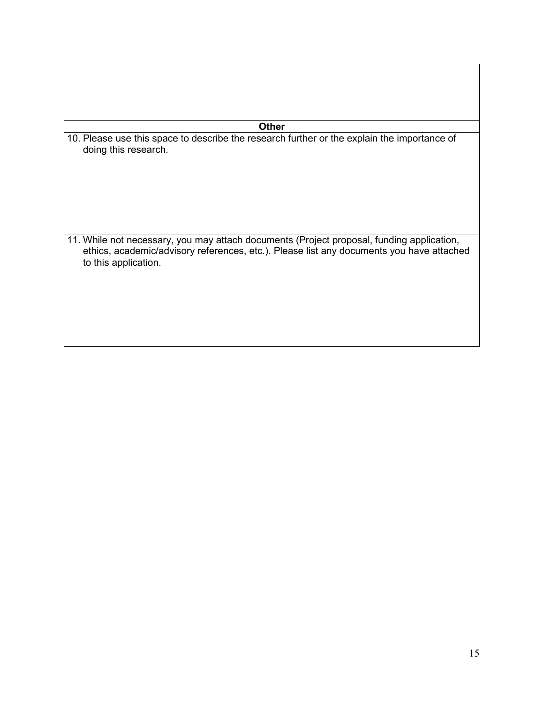### **Other**

10. Please use this space to describe the research further or the explain the importance of doing this research.

11. While not necessary, you may attach documents (Project proposal, funding application, ethics, academic/advisory references, etc.). Please list any documents you have attached to this application.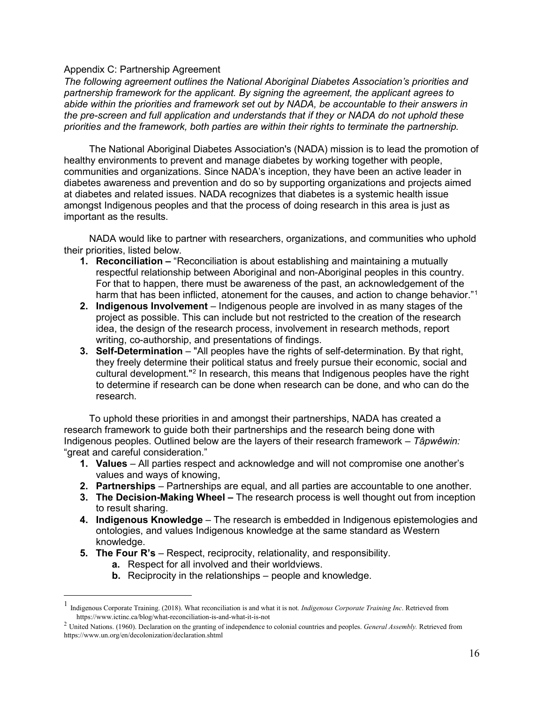#### Appendix C: Partnership Agreement

*The following agreement outlines the National Aboriginal Diabetes Association's priorities and partnership framework for the applicant. By signing the agreement, the applicant agrees to abide within the priorities and framework set out by NADA, be accountable to their answers in the pre-screen and full application and understands that if they or NADA do not uphold these priorities and the framework, both parties are within their rights to terminate the partnership.*

The National Aboriginal Diabetes Association's (NADA) mission is to lead the promotion of healthy environments to prevent and manage diabetes by working together with people, communities and organizations. Since NADA's inception, they have been an active leader in diabetes awareness and prevention and do so by supporting organizations and projects aimed at diabetes and related issues. NADA recognizes that diabetes is a systemic health issue amongst Indigenous peoples and that the process of doing research in this area is just as important as the results.

NADA would like to partner with researchers, organizations, and communities who uphold their priorities, listed below.

- **1. Reconciliation –** "Reconciliation is about establishing and maintaining a mutually respectful relationship between Aboriginal and non-Aboriginal peoples in this country. For that to happen, there must be awareness of the past, an acknowledgement of the harm that has been inflicted, atonement for the causes, and action to change behavior."<sup>[1](#page-16-0)</sup>
- **2. Indigenous Involvement** Indigenous people are involved in as many stages of the project as possible. This can include but not restricted to the creation of the research idea, the design of the research process, involvement in research methods, report writing, co-authorship, and presentations of findings.
- **3. Self-Determination**  "All peoples have the rights of self-determination. By that right, they freely determine their political status and freely pursue their economic, social and cultural development."[2](#page-16-1) In research, this means that Indigenous peoples have the right to determine if research can be done when research can be done, and who can do the research.

To uphold these priorities in and amongst their partnerships, NADA has created a research framework to guide both their partnerships and the research being done with Indigenous peoples. Outlined below are the layers of their research framework – *Tâpwêwin:* "great and careful consideration."

- **1. Values** All parties respect and acknowledge and will not compromise one another's values and ways of knowing,
- **2. Partnerships** Partnerships are equal, and all parties are accountable to one another.
- **3. The Decision-Making Wheel –** The research process is well thought out from inception to result sharing.
- **4. Indigenous Knowledge** The research is embedded in Indigenous epistemologies and ontologies, and values Indigenous knowledge at the same standard as Western knowledge.
- **5. The Four R's** Respect, reciprocity, relationality, and responsibility.
	- **a.** Respect for all involved and their worldviews.
	- **b.** Reciprocity in the relationships people and knowledge.

<span id="page-16-0"></span> <sup>1</sup> Indigenous Corporate Training. (2018). What reconciliation is and what it is not*. Indigenous Corporate Training Inc*. Retrieved from https://www.ictinc.ca/blog/what-reconciliation-is-and-what-it-is-not

<span id="page-16-1"></span><sup>2</sup> United Nations. (1960). Declaration on the granting of independence to colonial countries and peoples. *General Assembly.* Retrieved from https://www.un.org/en/decolonization/declaration.shtml